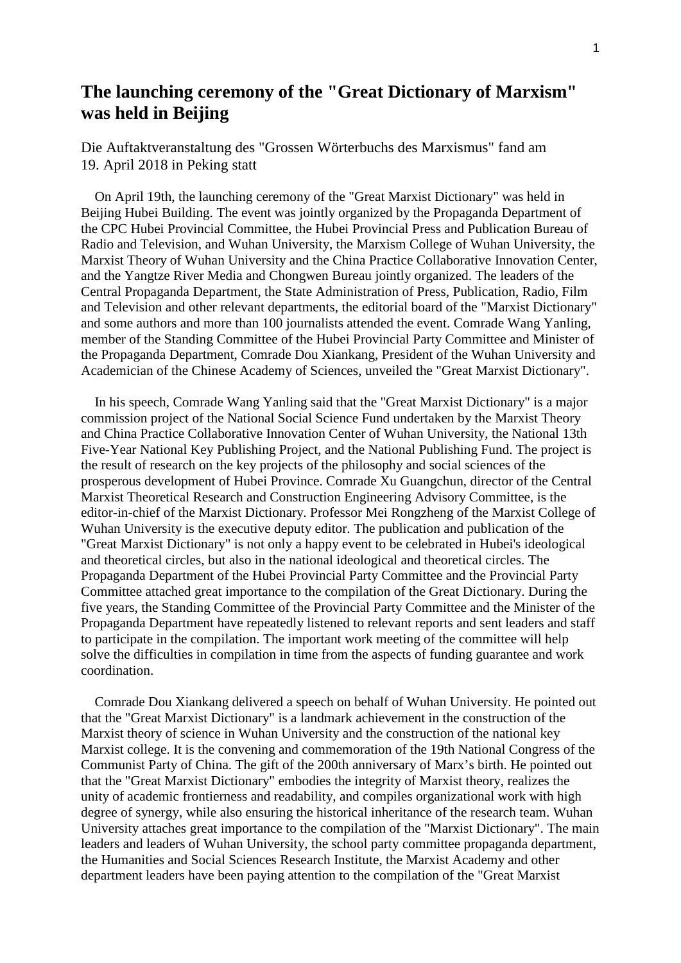## **The launching ceremony of the "Great Dictionary of Marxism" was held in Beijing**

Die Auftaktveranstaltung des "Grossen Wörterbuchs des Marxismus" fand am 19. April 2018 in Peking statt

 On April 19th, the launching ceremony of the "Great Marxist Dictionary" was held in Beijing Hubei Building. The event was jointly organized by the Propaganda Department of the CPC Hubei Provincial Committee, the Hubei Provincial Press and Publication Bureau of Radio and Television, and Wuhan University, the Marxism College of Wuhan University, the Marxist Theory of Wuhan University and the China Practice Collaborative Innovation Center, and the Yangtze River Media and Chongwen Bureau jointly organized. The leaders of the Central Propaganda Department, the State Administration of Press, Publication, Radio, Film and Television and other relevant departments, the editorial board of the "Marxist Dictionary" and some authors and more than 100 journalists attended the event. Comrade Wang Yanling, member of the Standing Committee of the Hubei Provincial Party Committee and Minister of the Propaganda Department, Comrade Dou Xiankang, President of the Wuhan University and Academician of the Chinese Academy of Sciences, unveiled the "Great Marxist Dictionary".

 In his speech, Comrade Wang Yanling said that the "Great Marxist Dictionary" is a major commission project of the National Social Science Fund undertaken by the Marxist Theory and China Practice Collaborative Innovation Center of Wuhan University, the National 13th Five-Year National Key Publishing Project, and the National Publishing Fund. The project is the result of research on the key projects of the philosophy and social sciences of the prosperous development of Hubei Province. Comrade Xu Guangchun, director of the Central Marxist Theoretical Research and Construction Engineering Advisory Committee, is the editor-in-chief of the Marxist Dictionary. Professor Mei Rongzheng of the Marxist College of Wuhan University is the executive deputy editor. The publication and publication of the "Great Marxist Dictionary" is not only a happy event to be celebrated in Hubei's ideological and theoretical circles, but also in the national ideological and theoretical circles. The Propaganda Department of the Hubei Provincial Party Committee and the Provincial Party Committee attached great importance to the compilation of the Great Dictionary. During the five years, the Standing Committee of the Provincial Party Committee and the Minister of the Propaganda Department have repeatedly listened to relevant reports and sent leaders and staff to participate in the compilation. The important work meeting of the committee will help solve the difficulties in compilation in time from the aspects of funding guarantee and work coordination.

 Comrade Dou Xiankang delivered a speech on behalf of Wuhan University. He pointed out that the "Great Marxist Dictionary" is a landmark achievement in the construction of the Marxist theory of science in Wuhan University and the construction of the national key Marxist college. It is the convening and commemoration of the 19th National Congress of the Communist Party of China. The gift of the 200th anniversary of Marx's birth. He pointed out that the "Great Marxist Dictionary" embodies the integrity of Marxist theory, realizes the unity of academic frontierness and readability, and compiles organizational work with high degree of synergy, while also ensuring the historical inheritance of the research team. Wuhan University attaches great importance to the compilation of the "Marxist Dictionary". The main leaders and leaders of Wuhan University, the school party committee propaganda department, the Humanities and Social Sciences Research Institute, the Marxist Academy and other department leaders have been paying attention to the compilation of the "Great Marxist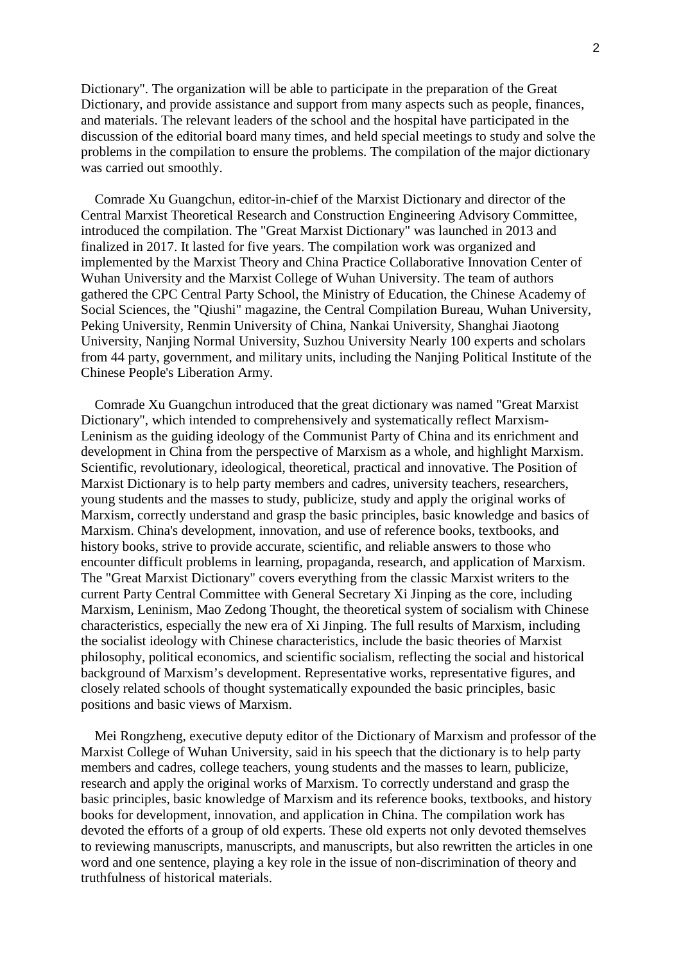Dictionary". The organization will be able to participate in the preparation of the Great Dictionary, and provide assistance and support from many aspects such as people, finances, and materials. The relevant leaders of the school and the hospital have participated in the discussion of the editorial board many times, and held special meetings to study and solve the problems in the compilation to ensure the problems. The compilation of the major dictionary was carried out smoothly.

 Comrade Xu Guangchun, editor-in-chief of the Marxist Dictionary and director of the Central Marxist Theoretical Research and Construction Engineering Advisory Committee, introduced the compilation. The "Great Marxist Dictionary" was launched in 2013 and finalized in 2017. It lasted for five years. The compilation work was organized and implemented by the Marxist Theory and China Practice Collaborative Innovation Center of Wuhan University and the Marxist College of Wuhan University. The team of authors gathered the CPC Central Party School, the Ministry of Education, the Chinese Academy of Social Sciences, the "Qiushi" magazine, the Central Compilation Bureau, Wuhan University, Peking University, Renmin University of China, Nankai University, Shanghai Jiaotong University, Nanjing Normal University, Suzhou University Nearly 100 experts and scholars from 44 party, government, and military units, including the Nanjing Political Institute of the Chinese People's Liberation Army.

 Comrade Xu Guangchun introduced that the great dictionary was named "Great Marxist Dictionary", which intended to comprehensively and systematically reflect Marxism-Leninism as the guiding ideology of the Communist Party of China and its enrichment and development in China from the perspective of Marxism as a whole, and highlight Marxism. Scientific, revolutionary, ideological, theoretical, practical and innovative. The Position of Marxist Dictionary is to help party members and cadres, university teachers, researchers, young students and the masses to study, publicize, study and apply the original works of Marxism, correctly understand and grasp the basic principles, basic knowledge and basics of Marxism. China's development, innovation, and use of reference books, textbooks, and history books, strive to provide accurate, scientific, and reliable answers to those who encounter difficult problems in learning, propaganda, research, and application of Marxism. The "Great Marxist Dictionary" covers everything from the classic Marxist writers to the current Party Central Committee with General Secretary Xi Jinping as the core, including Marxism, Leninism, Mao Zedong Thought, the theoretical system of socialism with Chinese characteristics, especially the new era of Xi Jinping. The full results of Marxism, including the socialist ideology with Chinese characteristics, include the basic theories of Marxist philosophy, political economics, and scientific socialism, reflecting the social and historical background of Marxism's development. Representative works, representative figures, and closely related schools of thought systematically expounded the basic principles, basic positions and basic views of Marxism.

 Mei Rongzheng, executive deputy editor of the Dictionary of Marxism and professor of the Marxist College of Wuhan University, said in his speech that the dictionary is to help party members and cadres, college teachers, young students and the masses to learn, publicize, research and apply the original works of Marxism. To correctly understand and grasp the basic principles, basic knowledge of Marxism and its reference books, textbooks, and history books for development, innovation, and application in China. The compilation work has devoted the efforts of a group of old experts. These old experts not only devoted themselves to reviewing manuscripts, manuscripts, and manuscripts, but also rewritten the articles in one word and one sentence, playing a key role in the issue of non-discrimination of theory and truthfulness of historical materials.